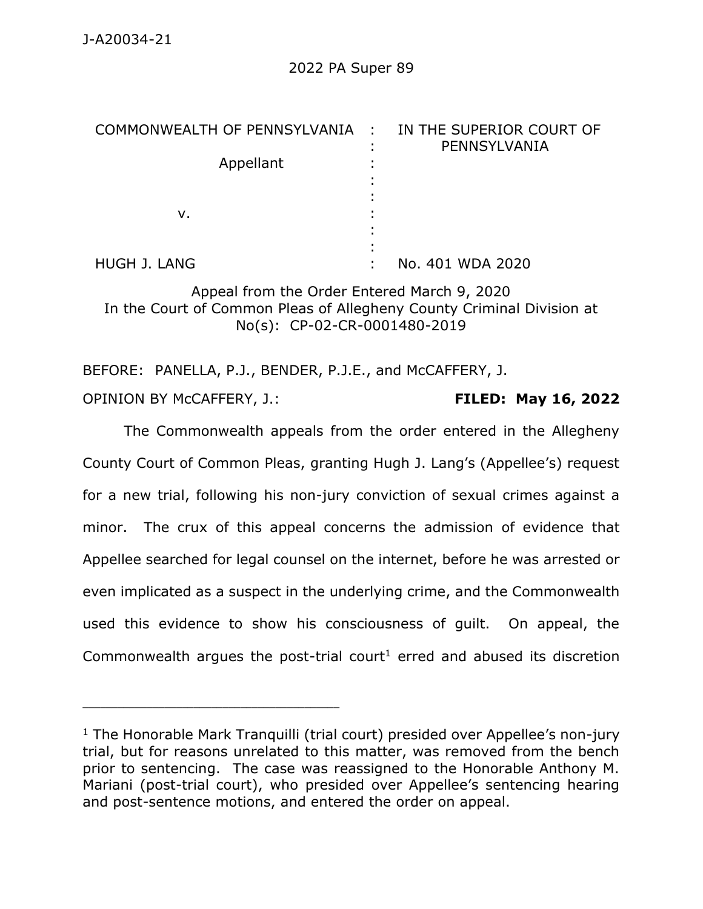| COMMONWEALTH OF PENNSYLVANIA : IN THE SUPERIOR COURT OF |  | PENNSYLVANIA     |
|---------------------------------------------------------|--|------------------|
| Appellant                                               |  |                  |
| v.                                                      |  |                  |
| HUGH J. LANG                                            |  | No. 401 WDA 2020 |

Appeal from the Order Entered March 9, 2020 In the Court of Common Pleas of Allegheny County Criminal Division at No(s): CP-02-CR-0001480-2019

BEFORE: PANELLA, P.J., BENDER, P.J.E., and McCAFFERY, J. OPINION BY McCAFFERY, J.: **FILED: May 16, 2022**

The Commonwealth appeals from the order entered in the Allegheny County Court of Common Pleas, granting Hugh J. Lang's (Appellee's) request for a new trial, following his non-jury conviction of sexual crimes against a minor. The crux of this appeal concerns the admission of evidence that Appellee searched for legal counsel on the internet, before he was arrested or even implicated as a suspect in the underlying crime, and the Commonwealth used this evidence to show his consciousness of guilt. On appeal, the Commonwealth argues the post-trial court<sup>1</sup> erred and abused its discretion

 $1$  The Honorable Mark Tranquilli (trial court) presided over Appellee's non-jury trial, but for reasons unrelated to this matter, was removed from the bench prior to sentencing. The case was reassigned to the Honorable Anthony M. Mariani (post-trial court), who presided over Appellee's sentencing hearing and post-sentence motions, and entered the order on appeal.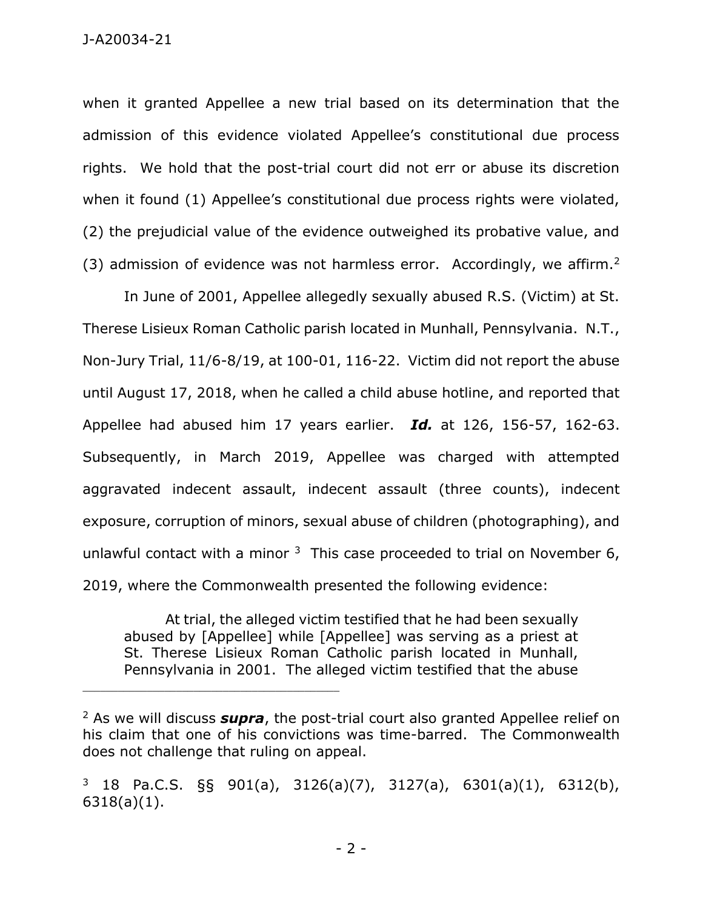J-A20034-21

when it granted Appellee a new trial based on its determination that the admission of this evidence violated Appellee's constitutional due process rights. We hold that the post-trial court did not err or abuse its discretion when it found (1) Appellee's constitutional due process rights were violated, (2) the prejudicial value of the evidence outweighed its probative value, and (3) admission of evidence was not harmless error. Accordingly, we affirm.<sup>2</sup>

In June of 2001, Appellee allegedly sexually abused R.S. (Victim) at St. Therese Lisieux Roman Catholic parish located in Munhall, Pennsylvania. N.T., Non-Jury Trial, 11/6-8/19, at 100-01, 116-22. Victim did not report the abuse until August 17, 2018, when he called a child abuse hotline, and reported that Appellee had abused him 17 years earlier. *Id.* at 126, 156-57, 162-63. Subsequently, in March 2019, Appellee was charged with attempted aggravated indecent assault, indecent assault (three counts), indecent exposure, corruption of minors, sexual abuse of children (photographing), and unlawful contact with a minor  $3$  This case proceeded to trial on November 6, 2019, where the Commonwealth presented the following evidence:

At trial, the alleged victim testified that he had been sexually abused by [Appellee] while [Appellee] was serving as a priest at St. Therese Lisieux Roman Catholic parish located in Munhall, Pennsylvania in 2001. The alleged victim testified that the abuse

<sup>2</sup> As we will discuss *supra*, the post-trial court also granted Appellee relief on his claim that one of his convictions was time-barred. The Commonwealth does not challenge that ruling on appeal.

<sup>3</sup> 18 Pa.C.S. §§ 901(a), 3126(a)(7), 3127(a), 6301(a)(1), 6312(b), 6318(a)(1).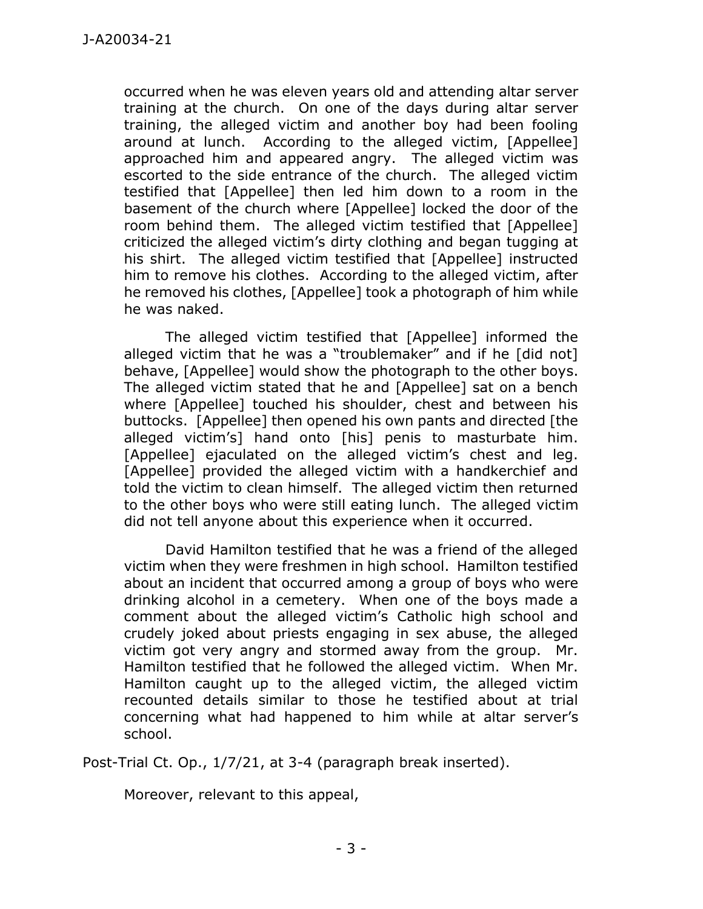occurred when he was eleven years old and attending altar server training at the church. On one of the days during altar server training, the alleged victim and another boy had been fooling around at lunch. According to the alleged victim, [Appellee] approached him and appeared angry. The alleged victim was escorted to the side entrance of the church. The alleged victim testified that [Appellee] then led him down to a room in the basement of the church where [Appellee] locked the door of the room behind them. The alleged victim testified that [Appellee] criticized the alleged victim's dirty clothing and began tugging at his shirt. The alleged victim testified that [Appellee] instructed him to remove his clothes. According to the alleged victim, after he removed his clothes, [Appellee] took a photograph of him while he was naked.

The alleged victim testified that [Appellee] informed the alleged victim that he was a "troublemaker" and if he [did not] behave, [Appellee] would show the photograph to the other boys. The alleged victim stated that he and [Appellee] sat on a bench where [Appellee] touched his shoulder, chest and between his buttocks. [Appellee] then opened his own pants and directed [the alleged victim's] hand onto [his] penis to masturbate him. [Appellee] ejaculated on the alleged victim's chest and leg. [Appellee] provided the alleged victim with a handkerchief and told the victim to clean himself. The alleged victim then returned to the other boys who were still eating lunch. The alleged victim did not tell anyone about this experience when it occurred.

David Hamilton testified that he was a friend of the alleged victim when they were freshmen in high school. Hamilton testified about an incident that occurred among a group of boys who were drinking alcohol in a cemetery. When one of the boys made a comment about the alleged victim's Catholic high school and crudely joked about priests engaging in sex abuse, the alleged victim got very angry and stormed away from the group. Mr. Hamilton testified that he followed the alleged victim. When Mr. Hamilton caught up to the alleged victim, the alleged victim recounted details similar to those he testified about at trial concerning what had happened to him while at altar server's school.

Post-Trial Ct. Op., 1/7/21, at 3-4 (paragraph break inserted).

Moreover, relevant to this appeal,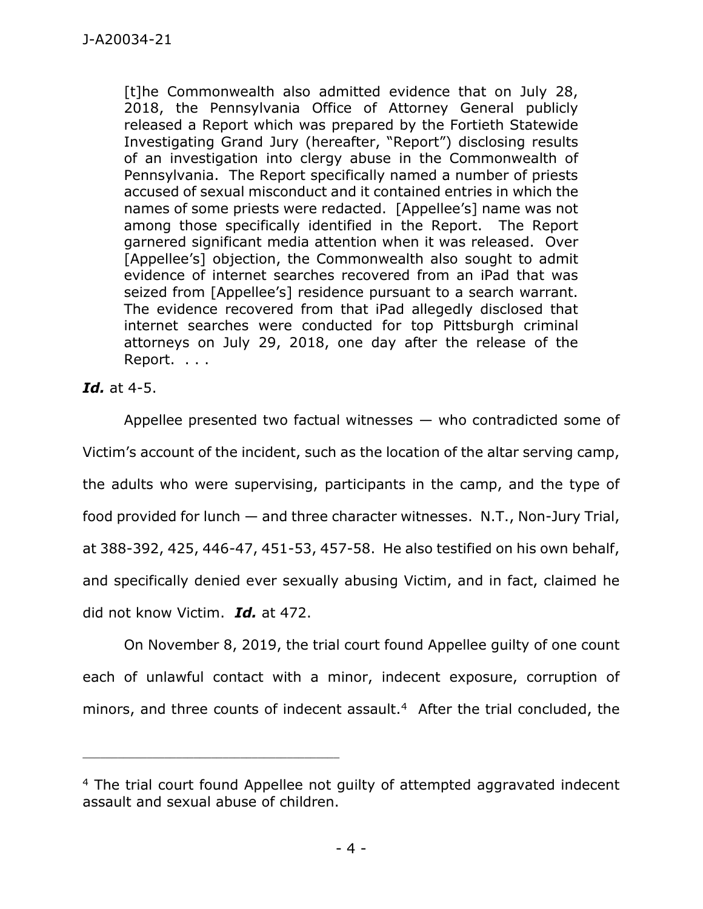[t]he Commonwealth also admitted evidence that on July 28, 2018, the Pennsylvania Office of Attorney General publicly released a Report which was prepared by the Fortieth Statewide Investigating Grand Jury (hereafter, "Report") disclosing results of an investigation into clergy abuse in the Commonwealth of Pennsylvania. The Report specifically named a number of priests accused of sexual misconduct and it contained entries in which the names of some priests were redacted. [Appellee's] name was not among those specifically identified in the Report. The Report garnered significant media attention when it was released. Over [Appellee's] objection, the Commonwealth also sought to admit evidence of internet searches recovered from an iPad that was seized from [Appellee's] residence pursuant to a search warrant. The evidence recovered from that iPad allegedly disclosed that internet searches were conducted for top Pittsburgh criminal attorneys on July 29, 2018, one day after the release of the Report. . . .

## *Id.* at 4-5.

Appellee presented two factual witnesses — who contradicted some of Victim's account of the incident, such as the location of the altar serving camp, the adults who were supervising, participants in the camp, and the type of food provided for lunch — and three character witnesses. N.T., Non-Jury Trial, at 388-392, 425, 446-47, 451-53, 457-58. He also testified on his own behalf, and specifically denied ever sexually abusing Victim, and in fact, claimed he did not know Victim. *Id.* at 472.

On November 8, 2019, the trial court found Appellee guilty of one count each of unlawful contact with a minor, indecent exposure, corruption of minors, and three counts of indecent assault. $4$  After the trial concluded, the

<sup>4</sup> The trial court found Appellee not guilty of attempted aggravated indecent assault and sexual abuse of children.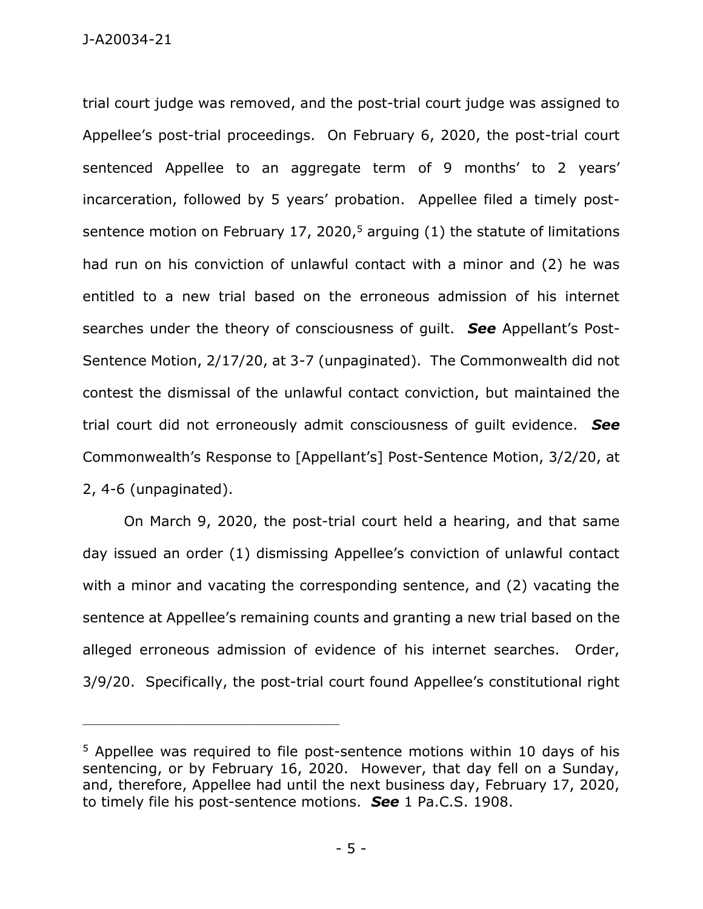trial court judge was removed, and the post-trial court judge was assigned to Appellee's post-trial proceedings. On February 6, 2020, the post-trial court sentenced Appellee to an aggregate term of 9 months' to 2 years' incarceration, followed by 5 years' probation. Appellee filed a timely postsentence motion on February 17, 2020,<sup>5</sup> arguing (1) the statute of limitations had run on his conviction of unlawful contact with a minor and (2) he was entitled to a new trial based on the erroneous admission of his internet searches under the theory of consciousness of guilt. *See* Appellant's Post-Sentence Motion, 2/17/20, at 3-7 (unpaginated). The Commonwealth did not contest the dismissal of the unlawful contact conviction, but maintained the trial court did not erroneously admit consciousness of guilt evidence. *See* Commonwealth's Response to [Appellant's] Post-Sentence Motion, 3/2/20, at 2, 4-6 (unpaginated).

On March 9, 2020, the post-trial court held a hearing, and that same day issued an order (1) dismissing Appellee's conviction of unlawful contact with a minor and vacating the corresponding sentence, and (2) vacating the sentence at Appellee's remaining counts and granting a new trial based on the alleged erroneous admission of evidence of his internet searches. Order, 3/9/20. Specifically, the post-trial court found Appellee's constitutional right

<sup>&</sup>lt;sup>5</sup> Appellee was required to file post-sentence motions within 10 days of his sentencing, or by February 16, 2020. However, that day fell on a Sunday, and, therefore, Appellee had until the next business day, February 17, 2020, to timely file his post-sentence motions. *See* 1 Pa.C.S. 1908.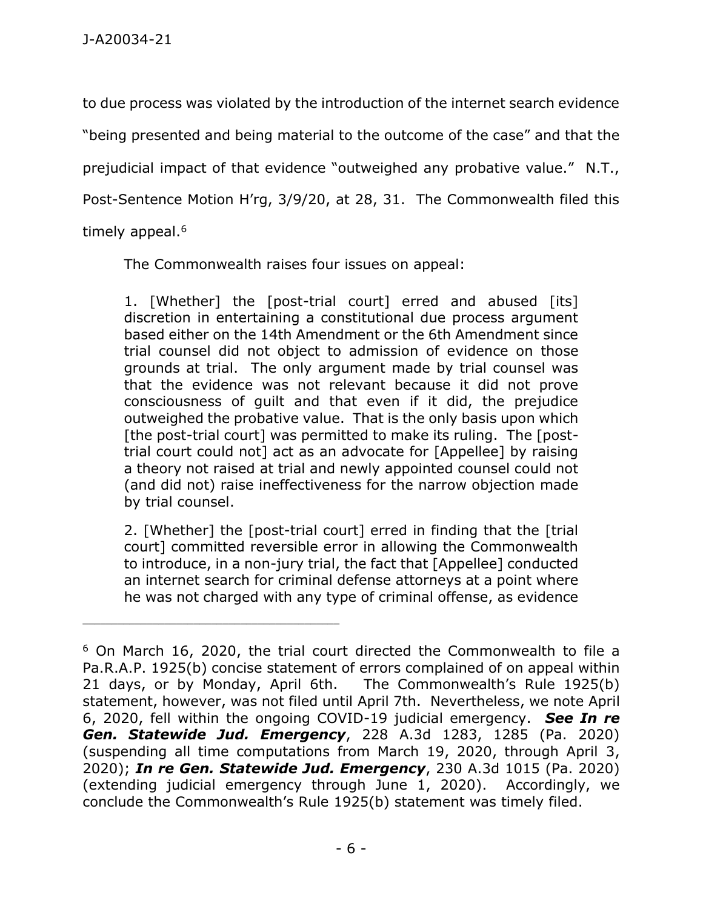to due process was violated by the introduction of the internet search evidence "being presented and being material to the outcome of the case" and that the prejudicial impact of that evidence "outweighed any probative value." N.T., Post-Sentence Motion H'rg, 3/9/20, at 28, 31. The Commonwealth filed this timely appeal.<sup>6</sup>

The Commonwealth raises four issues on appeal:

1. [Whether] the [post-trial court] erred and abused [its] discretion in entertaining a constitutional due process argument based either on the 14th Amendment or the 6th Amendment since trial counsel did not object to admission of evidence on those grounds at trial. The only argument made by trial counsel was that the evidence was not relevant because it did not prove consciousness of guilt and that even if it did, the prejudice outweighed the probative value. That is the only basis upon which [the post-trial court] was permitted to make its ruling. The [posttrial court could not] act as an advocate for [Appellee] by raising a theory not raised at trial and newly appointed counsel could not (and did not) raise ineffectiveness for the narrow objection made by trial counsel.

2. [Whether] the [post-trial court] erred in finding that the [trial court] committed reversible error in allowing the Commonwealth to introduce, in a non-jury trial, the fact that [Appellee] conducted an internet search for criminal defense attorneys at a point where he was not charged with any type of criminal offense, as evidence

<sup>6</sup> On March 16, 2020, the trial court directed the Commonwealth to file a Pa.R.A.P. 1925(b) concise statement of errors complained of on appeal within 21 days, or by Monday, April 6th. The Commonwealth's Rule 1925(b) statement, however, was not filed until April 7th. Nevertheless, we note April 6, 2020, fell within the ongoing COVID-19 judicial emergency. *See In re Gen. Statewide Jud. Emergency*, 228 A.3d 1283, 1285 (Pa. 2020) (suspending all time computations from March 19, 2020, through April 3, 2020); *In re Gen. Statewide Jud. Emergency*, 230 A.3d 1015 (Pa. 2020) (extending judicial emergency through June 1, 2020). Accordingly, we conclude the Commonwealth's Rule 1925(b) statement was timely filed.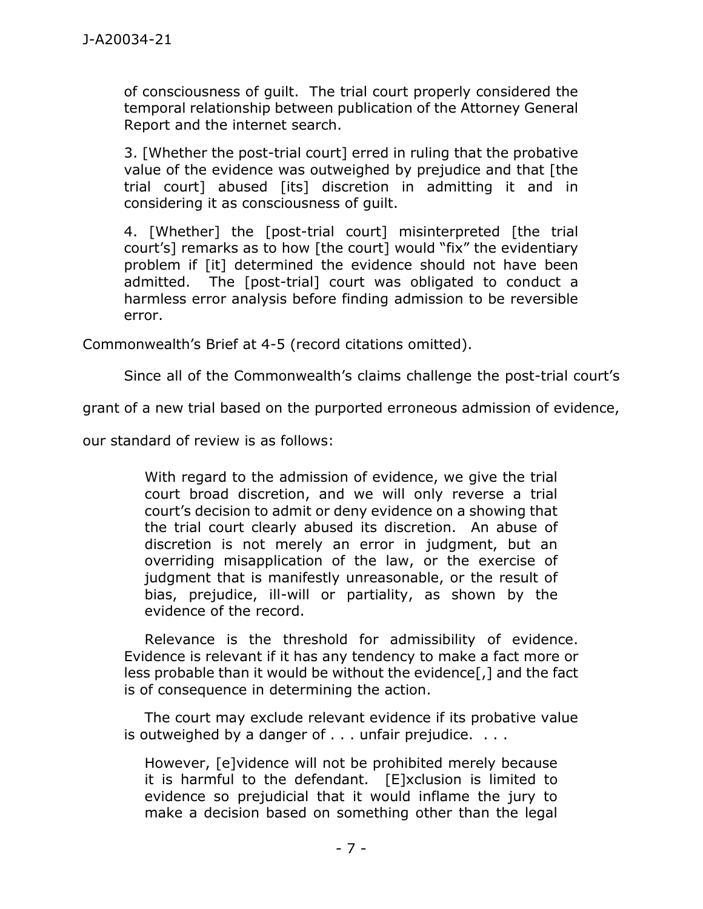of consciousness of guilt. The trial court properly considered the temporal relationship between publication of the Attorney General Report and the internet search.

3. [Whether the post-trial court] erred in ruling that the probative value of the evidence was outweighed by prejudice and that [the trial court] abused [its] discretion in admitting it and in considering it as consciousness of guilt.

4. [Whether] the [post-trial court] misinterpreted [the trial court's] remarks as to how [the court] would "fix" the evidentiary problem if [it] determined the evidence should not have been admitted. The [post-trial] court was obligated to conduct a harmless error analysis before finding admission to be reversible error.

Commonwealth's Brief at 4-5 (record citations omitted).

Since all of the Commonwealth's claims challenge the post-trial court's

grant of a new trial based on the purported erroneous admission of evidence,

our standard of review is as follows:

With regard to the admission of evidence, we give the trial court broad discretion, and we will only reverse a trial court's decision to admit or deny evidence on a showing that the trial court clearly abused its discretion. An abuse of discretion is not merely an error in judgment, but an overriding misapplication of the law, or the exercise of judgment that is manifestly unreasonable, or the result of bias, prejudice, ill-will or partiality, as shown by the evidence of the record.

Relevance is the threshold for admissibility of evidence. Evidence is relevant if it has any tendency to make a fact more or less probable than it would be without the evidence[,] and the fact is of consequence in determining the action.

The court may exclude relevant evidence if its probative value is outweighed by a danger of . . . unfair prejudice. . . .

However, [e]vidence will not be prohibited merely because it is harmful to the defendant. [E]xclusion is limited to evidence so prejudicial that it would inflame the jury to make a decision based on something other than the legal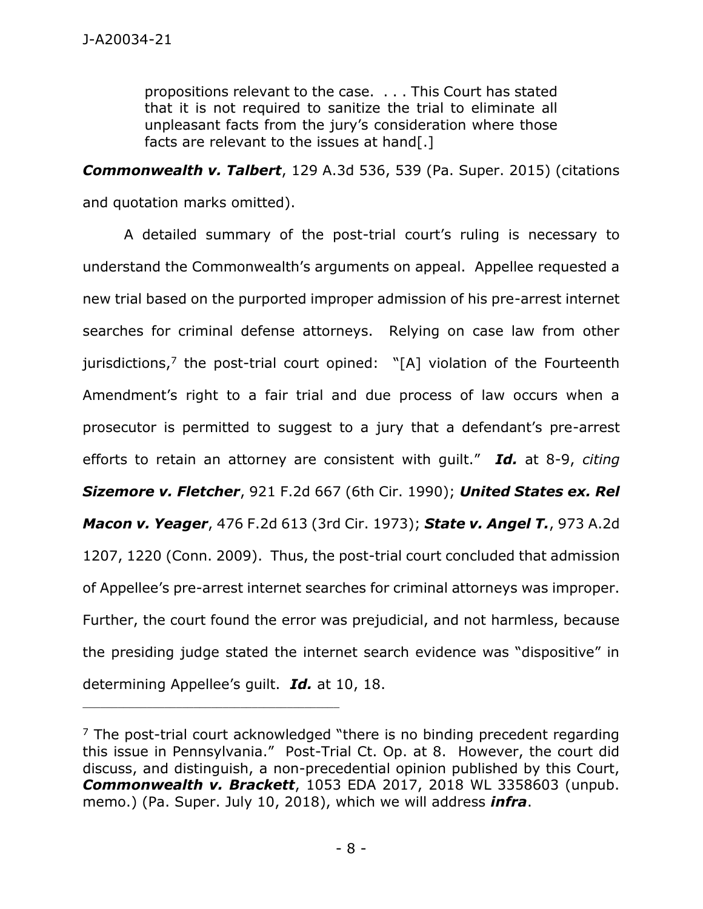propositions relevant to the case. . . . This Court has stated that it is not required to sanitize the trial to eliminate all unpleasant facts from the jury's consideration where those facts are relevant to the issues at hand[.]

*Commonwealth v. Talbert*, 129 A.3d 536, 539 (Pa. Super. 2015) (citations and quotation marks omitted).

A detailed summary of the post-trial court's ruling is necessary to understand the Commonwealth's arguments on appeal. Appellee requested a new trial based on the purported improper admission of his pre-arrest internet searches for criminal defense attorneys. Relying on case law from other jurisdictions, 7 the post-trial court opined: "[A] violation of the Fourteenth Amendment's right to a fair trial and due process of law occurs when a prosecutor is permitted to suggest to a jury that a defendant's pre-arrest efforts to retain an attorney are consistent with guilt." *Id.* at 8-9, *citing Sizemore v. Fletcher*, 921 F.2d 667 (6th Cir. 1990); *United States ex. Rel Macon v. Yeager*, 476 F.2d 613 (3rd Cir. 1973); *State v. Angel T.*, 973 A.2d 1207, 1220 (Conn. 2009). Thus, the post-trial court concluded that admission of Appellee's pre-arrest internet searches for criminal attorneys was improper. Further, the court found the error was prejudicial, and not harmless, because the presiding judge stated the internet search evidence was "dispositive" in determining Appellee's guilt. *Id.* at 10, 18.

 $<sup>7</sup>$  The post-trial court acknowledged "there is no binding precedent regarding</sup> this issue in Pennsylvania." Post-Trial Ct. Op. at 8. However, the court did discuss, and distinguish, a non-precedential opinion published by this Court, *Commonwealth v. Brackett*, 1053 EDA 2017, 2018 WL 3358603 (unpub. memo.) (Pa. Super. July 10, 2018), which we will address *infra*.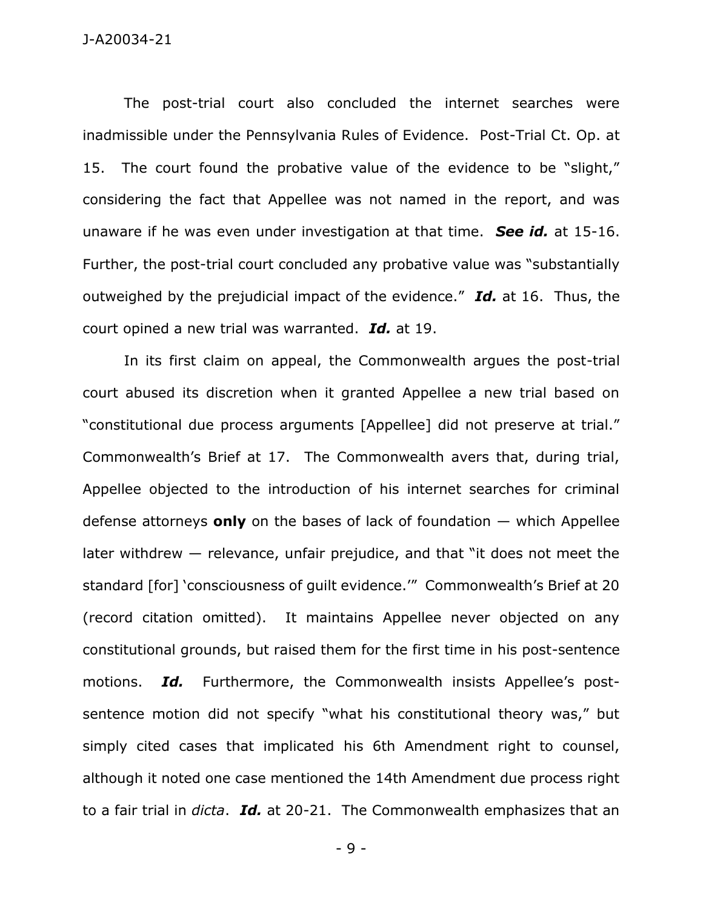The post-trial court also concluded the internet searches were inadmissible under the Pennsylvania Rules of Evidence. Post-Trial Ct. Op. at 15. The court found the probative value of the evidence to be "slight," considering the fact that Appellee was not named in the report, and was unaware if he was even under investigation at that time. *See id.* at 15-16. Further, the post-trial court concluded any probative value was "substantially outweighed by the prejudicial impact of the evidence." *Id.* at 16. Thus, the court opined a new trial was warranted. *Id.* at 19.

In its first claim on appeal, the Commonwealth argues the post-trial court abused its discretion when it granted Appellee a new trial based on "constitutional due process arguments [Appellee] did not preserve at trial." Commonwealth's Brief at 17. The Commonwealth avers that, during trial, Appellee objected to the introduction of his internet searches for criminal defense attorneys **only** on the bases of lack of foundation — which Appellee later withdrew — relevance, unfair prejudice, and that "it does not meet the standard [for] 'consciousness of guilt evidence.'" Commonwealth's Brief at 20 (record citation omitted). It maintains Appellee never objected on any constitutional grounds, but raised them for the first time in his post-sentence motions. *Id.* Furthermore, the Commonwealth insists Appellee's postsentence motion did not specify "what his constitutional theory was," but simply cited cases that implicated his 6th Amendment right to counsel, although it noted one case mentioned the 14th Amendment due process right to a fair trial in *dicta*. *Id.* at 20-21. The Commonwealth emphasizes that an

- 9 -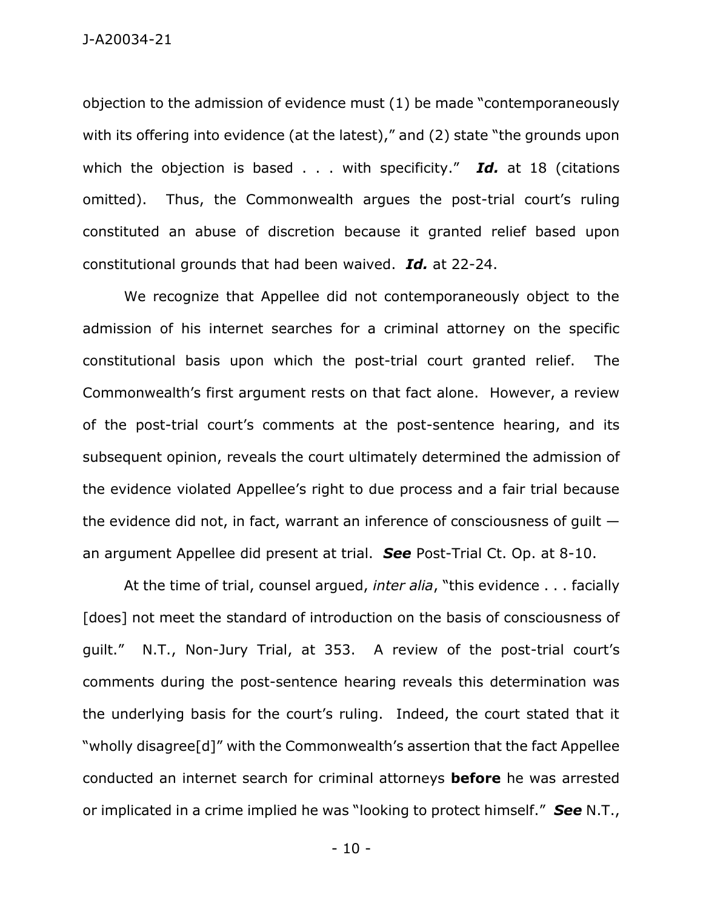objection to the admission of evidence must (1) be made "contemporaneously with its offering into evidence (at the latest)," and (2) state "the grounds upon which the objection is based . . . with specificity." *Id.* at 18 (citations omitted). Thus, the Commonwealth argues the post-trial court's ruling constituted an abuse of discretion because it granted relief based upon constitutional grounds that had been waived. *Id.* at 22-24.

We recognize that Appellee did not contemporaneously object to the admission of his internet searches for a criminal attorney on the specific constitutional basis upon which the post-trial court granted relief. The Commonwealth's first argument rests on that fact alone. However, a review of the post-trial court's comments at the post-sentence hearing, and its subsequent opinion, reveals the court ultimately determined the admission of the evidence violated Appellee's right to due process and a fair trial because the evidence did not, in fact, warrant an inference of consciousness of guilt an argument Appellee did present at trial. *See* Post-Trial Ct. Op. at 8-10.

At the time of trial, counsel argued, *inter alia*, "this evidence . . . facially [does] not meet the standard of introduction on the basis of consciousness of guilt." N.T., Non-Jury Trial, at 353. A review of the post-trial court's comments during the post-sentence hearing reveals this determination was the underlying basis for the court's ruling. Indeed, the court stated that it "wholly disagree[d]" with the Commonwealth's assertion that the fact Appellee conducted an internet search for criminal attorneys **before** he was arrested or implicated in a crime implied he was "looking to protect himself." *See* N.T.,

- 10 -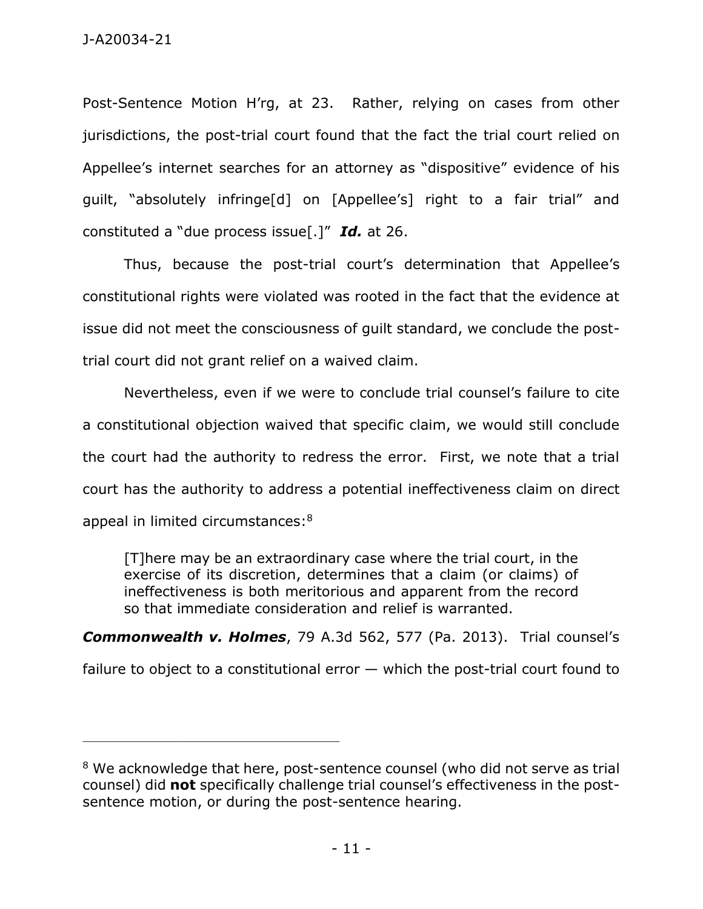Post-Sentence Motion H'rg, at 23. Rather, relying on cases from other jurisdictions, the post-trial court found that the fact the trial court relied on Appellee's internet searches for an attorney as "dispositive" evidence of his guilt, "absolutely infringe[d] on [Appellee's] right to a fair trial" and constituted a "due process issue[.]" *Id.* at 26.

Thus, because the post-trial court's determination that Appellee's constitutional rights were violated was rooted in the fact that the evidence at issue did not meet the consciousness of guilt standard, we conclude the posttrial court did not grant relief on a waived claim.

Nevertheless, even if we were to conclude trial counsel's failure to cite a constitutional objection waived that specific claim, we would still conclude the court had the authority to redress the error. First, we note that a trial court has the authority to address a potential ineffectiveness claim on direct appeal in limited circumstances:<sup>8</sup>

[T]here may be an extraordinary case where the trial court, in the exercise of its discretion, determines that a claim (or claims) of ineffectiveness is both meritorious and apparent from the record so that immediate consideration and relief is warranted.

*Commonwealth v. Holmes*, 79 A.3d 562, 577 (Pa. 2013). Trial counsel's

failure to object to a constitutional error  $-$  which the post-trial court found to

<sup>&</sup>lt;sup>8</sup> We acknowledge that here, post-sentence counsel (who did not serve as trial counsel) did **not** specifically challenge trial counsel's effectiveness in the postsentence motion, or during the post-sentence hearing.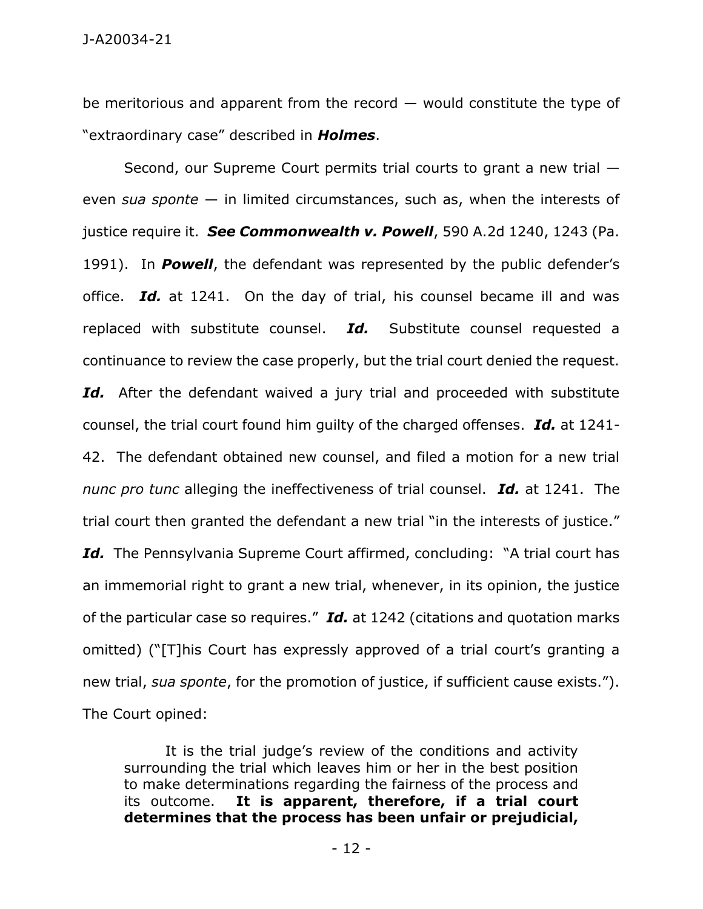J-A20034-21

be meritorious and apparent from the record  $-$  would constitute the type of "extraordinary case" described in *Holmes*.

Second, our Supreme Court permits trial courts to grant a new trial even *sua sponte* — in limited circumstances, such as, when the interests of justice require it. *See Commonwealth v. Powell*, 590 A.2d 1240, 1243 (Pa. 1991). In *Powell*, the defendant was represented by the public defender's office. *Id.* at 1241. On the day of trial, his counsel became ill and was replaced with substitute counsel. *Id.* Substitute counsel requested a continuance to review the case properly, but the trial court denied the request. Id. After the defendant waived a jury trial and proceeded with substitute counsel, the trial court found him guilty of the charged offenses. *Id.* at 1241- 42. The defendant obtained new counsel, and filed a motion for a new trial *nunc pro tunc* alleging the ineffectiveness of trial counsel. *Id.* at 1241. The trial court then granted the defendant a new trial "in the interests of justice." Id. The Pennsylvania Supreme Court affirmed, concluding: "A trial court has an immemorial right to grant a new trial, whenever, in its opinion, the justice of the particular case so requires." *Id.* at 1242 (citations and quotation marks omitted) ("[T]his Court has expressly approved of a trial court's granting a new trial, *sua sponte*, for the promotion of justice, if sufficient cause exists."). The Court opined:

It is the trial judge's review of the conditions and activity surrounding the trial which leaves him or her in the best position to make determinations regarding the fairness of the process and its outcome. **It is apparent, therefore, if a trial court determines that the process has been unfair or prejudicial,**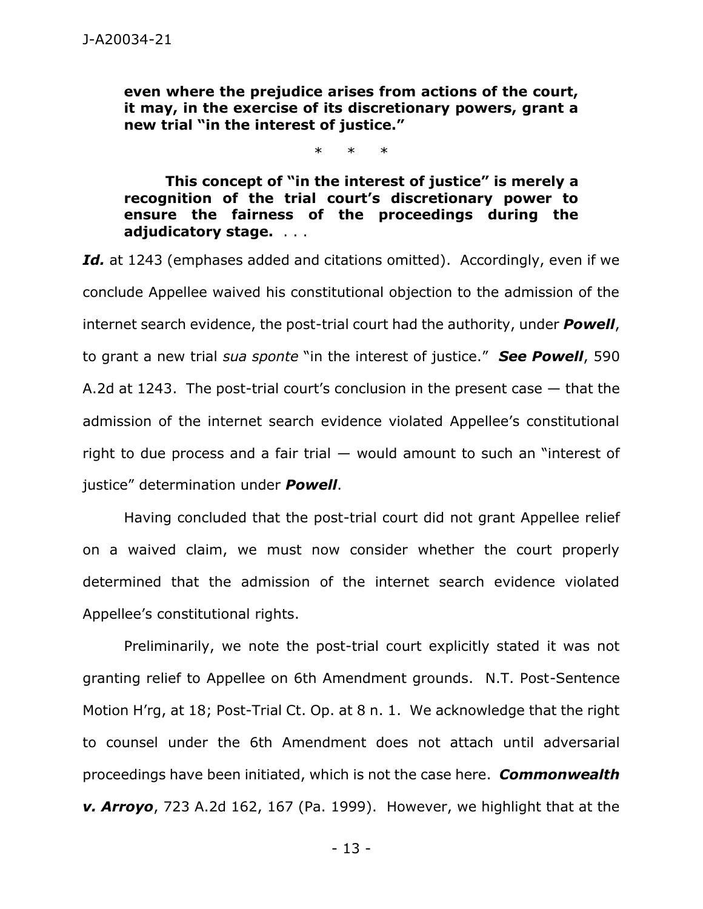**even where the prejudice arises from actions of the court, it may, in the exercise of its discretionary powers, grant a new trial "in the interest of justice."**

\* \* \*

**This concept of "in the interest of justice" is merely a recognition of the trial court's discretionary power to ensure the fairness of the proceedings during the adjudicatory stage.** . . .

Id. at 1243 (emphases added and citations omitted). Accordingly, even if we conclude Appellee waived his constitutional objection to the admission of the internet search evidence, the post-trial court had the authority, under *Powell*, to grant a new trial *sua sponte* "in the interest of justice." *See Powell*, 590 A.2d at 1243. The post-trial court's conclusion in the present case  $-$  that the admission of the internet search evidence violated Appellee's constitutional right to due process and a fair trial — would amount to such an "interest of justice" determination under *Powell*.

Having concluded that the post-trial court did not grant Appellee relief on a waived claim, we must now consider whether the court properly determined that the admission of the internet search evidence violated Appellee's constitutional rights.

Preliminarily, we note the post-trial court explicitly stated it was not granting relief to Appellee on 6th Amendment grounds. N.T. Post-Sentence Motion H'rg, at 18; Post-Trial Ct. Op. at 8 n. 1. We acknowledge that the right to counsel under the 6th Amendment does not attach until adversarial proceedings have been initiated, which is not the case here. *Commonwealth v. Arroyo*, 723 A.2d 162, 167 (Pa. 1999). However, we highlight that at the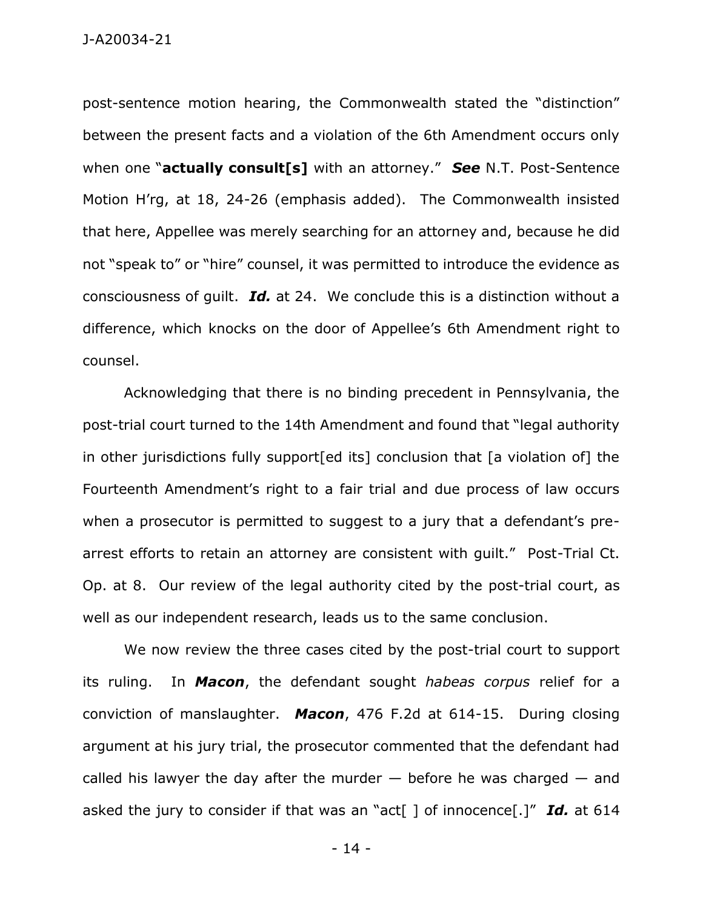post-sentence motion hearing, the Commonwealth stated the "distinction" between the present facts and a violation of the 6th Amendment occurs only when one "**actually consult[s]** with an attorney." *See* N.T. Post-Sentence Motion H'rg, at 18, 24-26 (emphasis added). The Commonwealth insisted that here, Appellee was merely searching for an attorney and, because he did not "speak to" or "hire" counsel, it was permitted to introduce the evidence as consciousness of guilt. *Id.* at 24. We conclude this is a distinction without a difference, which knocks on the door of Appellee's 6th Amendment right to counsel.

Acknowledging that there is no binding precedent in Pennsylvania, the post-trial court turned to the 14th Amendment and found that "legal authority in other jurisdictions fully support[ed its] conclusion that [a violation of] the Fourteenth Amendment's right to a fair trial and due process of law occurs when a prosecutor is permitted to suggest to a jury that a defendant's prearrest efforts to retain an attorney are consistent with guilt." Post-Trial Ct. Op. at 8. Our review of the legal authority cited by the post-trial court, as well as our independent research, leads us to the same conclusion.

We now review the three cases cited by the post-trial court to support its ruling. In *Macon*, the defendant sought *habeas corpus* relief for a conviction of manslaughter. *Macon*, 476 F.2d at 614-15. During closing argument at his jury trial, the prosecutor commented that the defendant had called his lawyer the day after the murder  $-$  before he was charged  $-$  and asked the jury to consider if that was an "act[ ] of innocence[.]" *Id.* at 614

- 14 -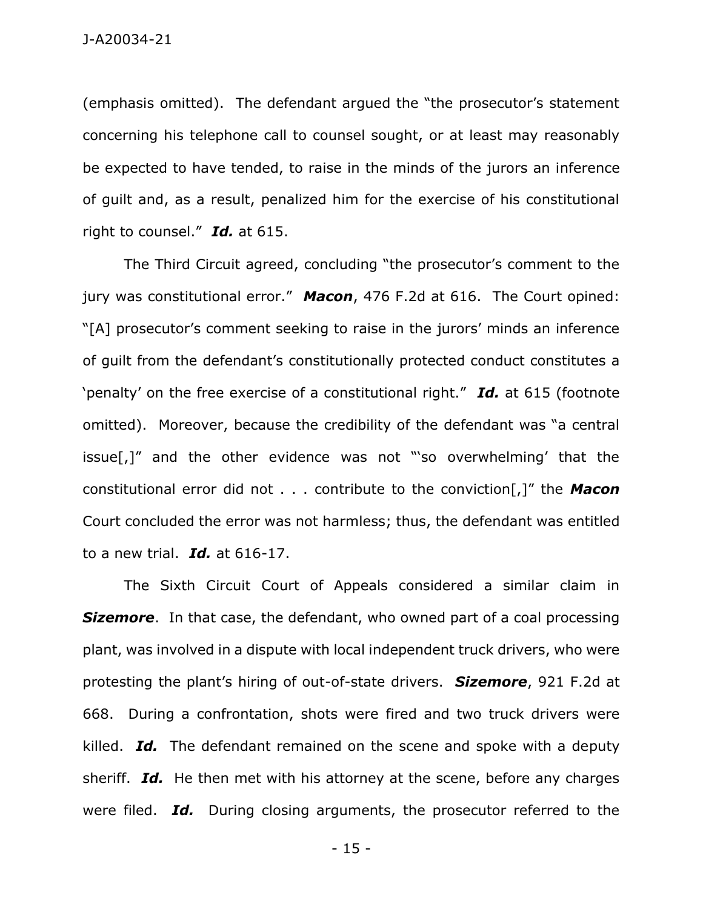(emphasis omitted). The defendant argued the "the prosecutor's statement concerning his telephone call to counsel sought, or at least may reasonably be expected to have tended, to raise in the minds of the jurors an inference of guilt and, as a result, penalized him for the exercise of his constitutional right to counsel." *Id.* at 615.

The Third Circuit agreed, concluding "the prosecutor's comment to the jury was constitutional error." *Macon*, 476 F.2d at 616. The Court opined: "[A] prosecutor's comment seeking to raise in the jurors' minds an inference of guilt from the defendant's constitutionally protected conduct constitutes a 'penalty' on the free exercise of a constitutional right." *Id.* at 615 (footnote omitted). Moreover, because the credibility of the defendant was "a central issue[,]" and the other evidence was not "'so overwhelming' that the constitutional error did not . . . contribute to the conviction[,]" the *Macon* Court concluded the error was not harmless; thus, the defendant was entitled to a new trial. *Id.* at 616-17.

The Sixth Circuit Court of Appeals considered a similar claim in **Sizemore**. In that case, the defendant, who owned part of a coal processing plant, was involved in a dispute with local independent truck drivers, who were protesting the plant's hiring of out-of-state drivers. *Sizemore*, 921 F.2d at 668. During a confrontation, shots were fired and two truck drivers were killed. *Id.* The defendant remained on the scene and spoke with a deputy sheriff. *Id.* He then met with his attorney at the scene, before any charges were filed. *Id.* During closing arguments, the prosecutor referred to the

- 15 -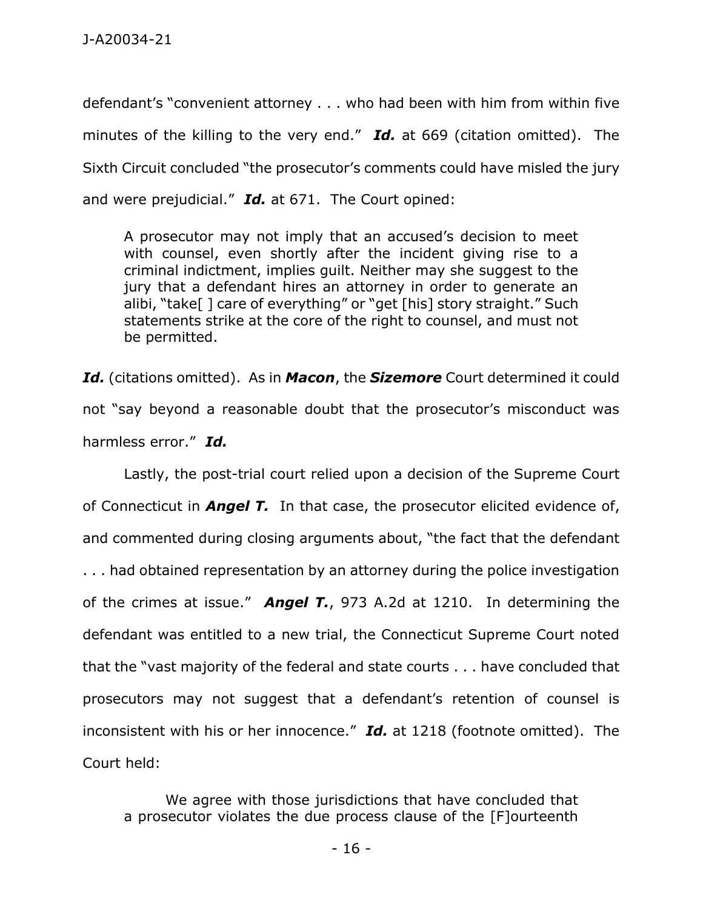defendant's "convenient attorney . . . who had been with him from within five minutes of the killing to the very end." *Id.* at 669 (citation omitted). The Sixth Circuit concluded "the prosecutor's comments could have misled the jury and were prejudicial." *Id.* at 671. The Court opined:

A prosecutor may not imply that an accused's decision to meet with counsel, even shortly after the incident giving rise to a criminal indictment, implies guilt. Neither may she suggest to the jury that a defendant hires an attorney in order to generate an alibi, "take[ ] care of everything" or "get [his] story straight." Such statements strike at the core of the right to counsel, and must not be permitted.

*Id.* (citations omitted). As in *Macon*, the *Sizemore* Court determined it could not "say beyond a reasonable doubt that the prosecutor's misconduct was harmless error." *Id.*

Lastly, the post-trial court relied upon a decision of the Supreme Court of Connecticut in *Angel T.* In that case, the prosecutor elicited evidence of, and commented during closing arguments about, "the fact that the defendant . . . had obtained representation by an attorney during the police investigation of the crimes at issue." *Angel T.*, 973 A.2d at 1210. In determining the defendant was entitled to a new trial, the Connecticut Supreme Court noted that the "vast majority of the federal and state courts . . . have concluded that prosecutors may not suggest that a defendant's retention of counsel is inconsistent with his or her innocence." *Id.* at 1218 (footnote omitted). The Court held:

We agree with those jurisdictions that have concluded that a prosecutor violates the due process clause of the [F]ourteenth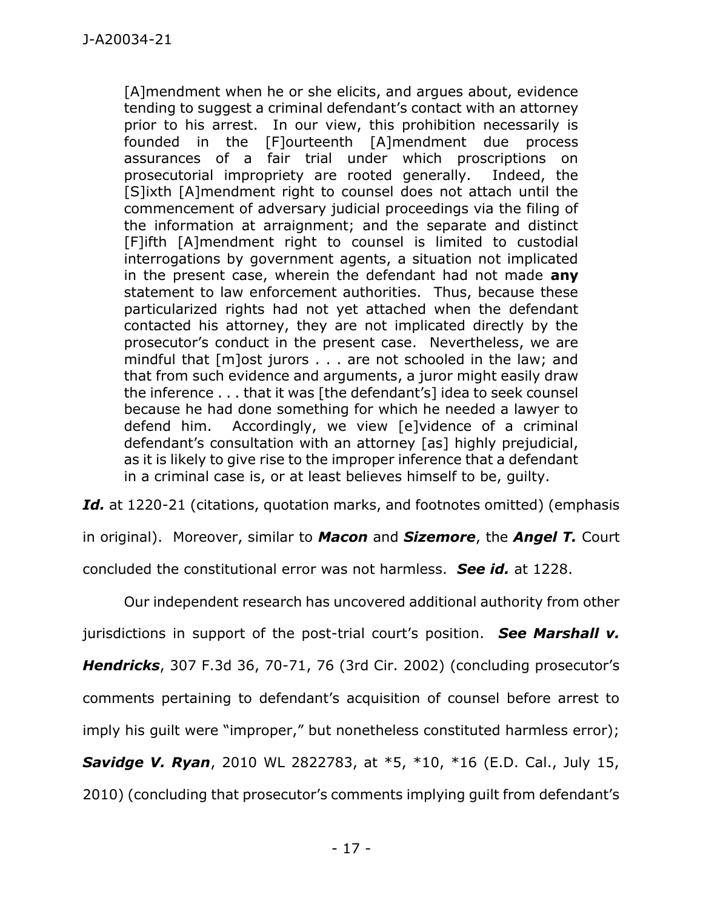[A]mendment when he or she elicits, and argues about, evidence tending to suggest a criminal defendant's contact with an attorney prior to his arrest. In our view, this prohibition necessarily is founded in the [F]ourteenth [A]mendment due process assurances of a fair trial under which proscriptions on prosecutorial impropriety are rooted generally. Indeed, the [S]ixth [A]mendment right to counsel does not attach until the commencement of adversary judicial proceedings via the filing of the information at arraignment; and the separate and distinct [F]ifth [A]mendment right to counsel is limited to custodial interrogations by government agents, a situation not implicated in the present case, wherein the defendant had not made **any** statement to law enforcement authorities. Thus, because these particularized rights had not yet attached when the defendant contacted his attorney, they are not implicated directly by the prosecutor's conduct in the present case. Nevertheless, we are mindful that [m]ost jurors . . . are not schooled in the law; and that from such evidence and arguments, a juror might easily draw the inference . . . that it was [the defendant's] idea to seek counsel because he had done something for which he needed a lawyer to defend him. Accordingly, we view [e]vidence of a criminal defendant's consultation with an attorney [as] highly prejudicial, as it is likely to give rise to the improper inference that a defendant in a criminal case is, or at least believes himself to be, guilty.

Id. at 1220-21 (citations, quotation marks, and footnotes omitted) (emphasis

in original). Moreover, similar to *Macon* and *Sizemore*, the *Angel T.* Court

concluded the constitutional error was not harmless. *See id.* at 1228.

Our independent research has uncovered additional authority from other

jurisdictions in support of the post-trial court's position. *See Marshall v.* 

*Hendricks*, 307 F.3d 36, 70-71, 76 (3rd Cir. 2002) (concluding prosecutor's

comments pertaining to defendant's acquisition of counsel before arrest to

imply his guilt were "improper," but nonetheless constituted harmless error);

*Savidge V. Ryan*, 2010 WL 2822783, at \*5, \*10, \*16 (E.D. Cal., July 15,

2010) (concluding that prosecutor's comments implying guilt from defendant's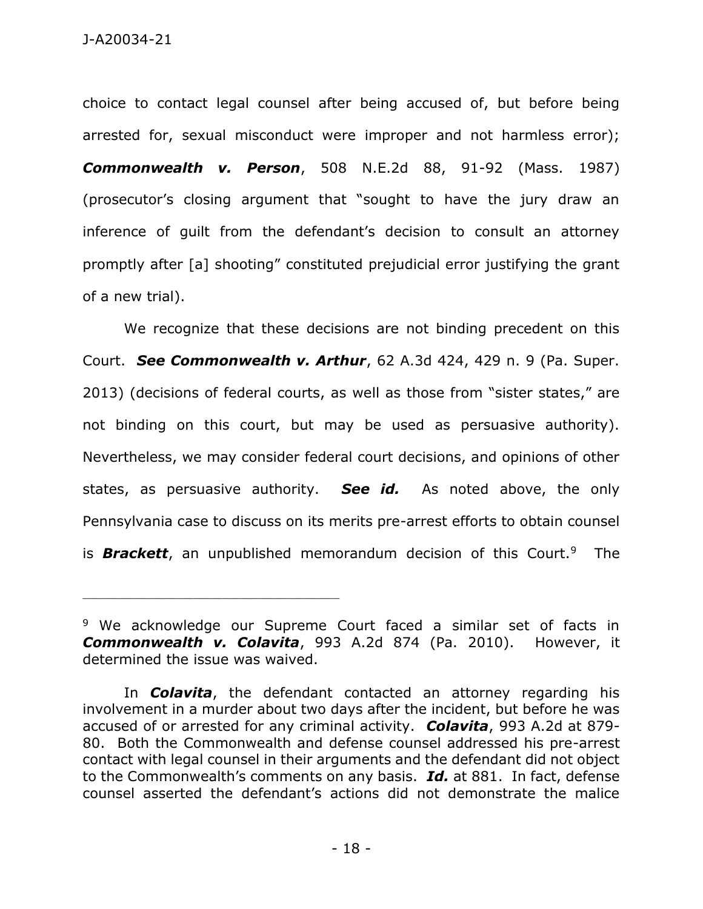choice to contact legal counsel after being accused of, but before being arrested for, sexual misconduct were improper and not harmless error); *Commonwealth v. Person*, 508 N.E.2d 88, 91-92 (Mass. 1987) (prosecutor's closing argument that "sought to have the jury draw an inference of guilt from the defendant's decision to consult an attorney promptly after [a] shooting" constituted prejudicial error justifying the grant of a new trial).

We recognize that these decisions are not binding precedent on this Court. *See Commonwealth v. Arthur*, 62 A.3d 424, 429 n. 9 (Pa. Super. 2013) (decisions of federal courts, as well as those from "sister states," are not binding on this court, but may be used as persuasive authority). Nevertheless, we may consider federal court decisions, and opinions of other states, as persuasive authority. *See id.* As noted above, the only Pennsylvania case to discuss on its merits pre-arrest efforts to obtain counsel is *Brackett*, an unpublished memorandum decision of this Court.<sup>9</sup> The

<sup>&</sup>lt;sup>9</sup> We acknowledge our Supreme Court faced a similar set of facts in *Commonwealth v. Colavita*, 993 A.2d 874 (Pa. 2010). However, it determined the issue was waived.

In *Colavita*, the defendant contacted an attorney regarding his involvement in a murder about two days after the incident, but before he was accused of or arrested for any criminal activity. *Colavita*, 993 A.2d at 879- 80. Both the Commonwealth and defense counsel addressed his pre-arrest contact with legal counsel in their arguments and the defendant did not object to the Commonwealth's comments on any basis. *Id.* at 881. In fact, defense counsel asserted the defendant's actions did not demonstrate the malice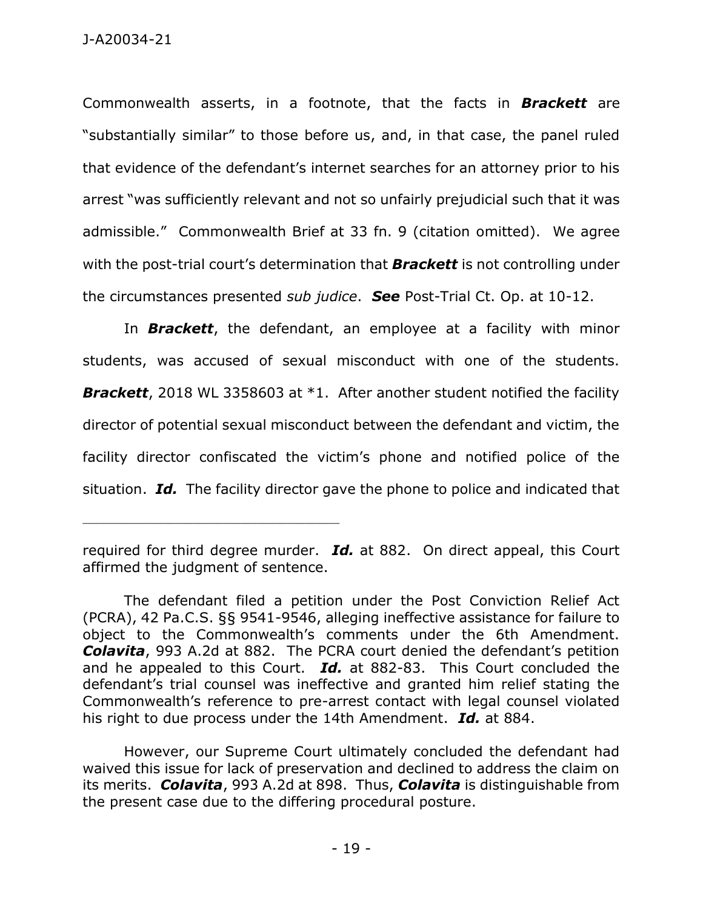Commonwealth asserts, in a footnote, that the facts in *Brackett* are "substantially similar" to those before us, and, in that case, the panel ruled that evidence of the defendant's internet searches for an attorney prior to his arrest "was sufficiently relevant and not so unfairly prejudicial such that it was admissible." Commonwealth Brief at 33 fn. 9 (citation omitted). We agree with the post-trial court's determination that *Brackett* is not controlling under the circumstances presented *sub judice*. *See* Post-Trial Ct. Op. at 10-12.

In *Brackett*, the defendant, an employee at a facility with minor students, was accused of sexual misconduct with one of the students. **Brackett**, 2018 WL 3358603 at \*1. After another student notified the facility director of potential sexual misconduct between the defendant and victim, the facility director confiscated the victim's phone and notified police of the situation. *Id.* The facility director gave the phone to police and indicated that

required for third degree murder. *Id.* at 882. On direct appeal, this Court affirmed the judgment of sentence.

The defendant filed a petition under the Post Conviction Relief Act (PCRA), 42 Pa.C.S. §§ 9541-9546, alleging ineffective assistance for failure to object to the Commonwealth's comments under the 6th Amendment. *Colavita*, 993 A.2d at 882. The PCRA court denied the defendant's petition and he appealed to this Court. *Id.* at 882-83. This Court concluded the defendant's trial counsel was ineffective and granted him relief stating the Commonwealth's reference to pre-arrest contact with legal counsel violated his right to due process under the 14th Amendment. *Id.* at 884.

However, our Supreme Court ultimately concluded the defendant had waived this issue for lack of preservation and declined to address the claim on its merits. *Colavita*, 993 A.2d at 898. Thus, *Colavita* is distinguishable from the present case due to the differing procedural posture.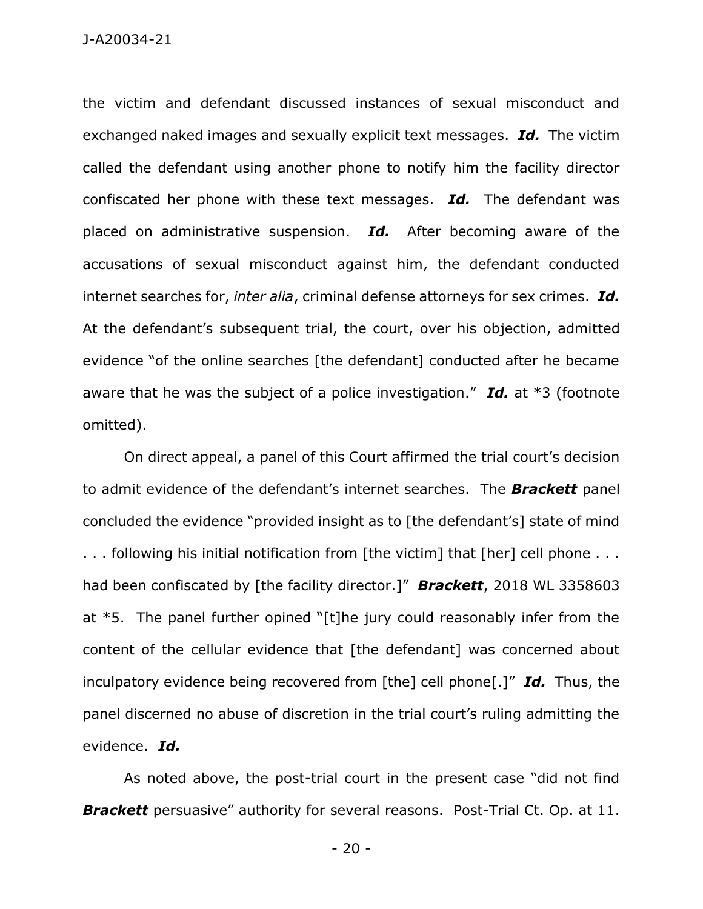J-A20034-21

the victim and defendant discussed instances of sexual misconduct and exchanged naked images and sexually explicit text messages. *Id.* The victim called the defendant using another phone to notify him the facility director confiscated her phone with these text messages. *Id.* The defendant was placed on administrative suspension. *Id.* After becoming aware of the accusations of sexual misconduct against him, the defendant conducted internet searches for, *inter alia*, criminal defense attorneys for sex crimes. *Id.* At the defendant's subsequent trial, the court, over his objection, admitted evidence "of the online searches [the defendant] conducted after he became aware that he was the subject of a police investigation." *Id.* at \*3 (footnote omitted).

On direct appeal, a panel of this Court affirmed the trial court's decision to admit evidence of the defendant's internet searches. The *Brackett* panel concluded the evidence "provided insight as to [the defendant's] state of mind ... following his initial notification from [the victim] that [her] cell phone ... had been confiscated by [the facility director.]" *Brackett*, 2018 WL 3358603 at \*5. The panel further opined "[t]he jury could reasonably infer from the content of the cellular evidence that [the defendant] was concerned about inculpatory evidence being recovered from [the] cell phone[.]" *Id.* Thus, the panel discerned no abuse of discretion in the trial court's ruling admitting the evidence. *Id.*

As noted above, the post-trial court in the present case "did not find *Brackett* persuasive" authority for several reasons. Post-Trial Ct. Op. at 11.

- 20 -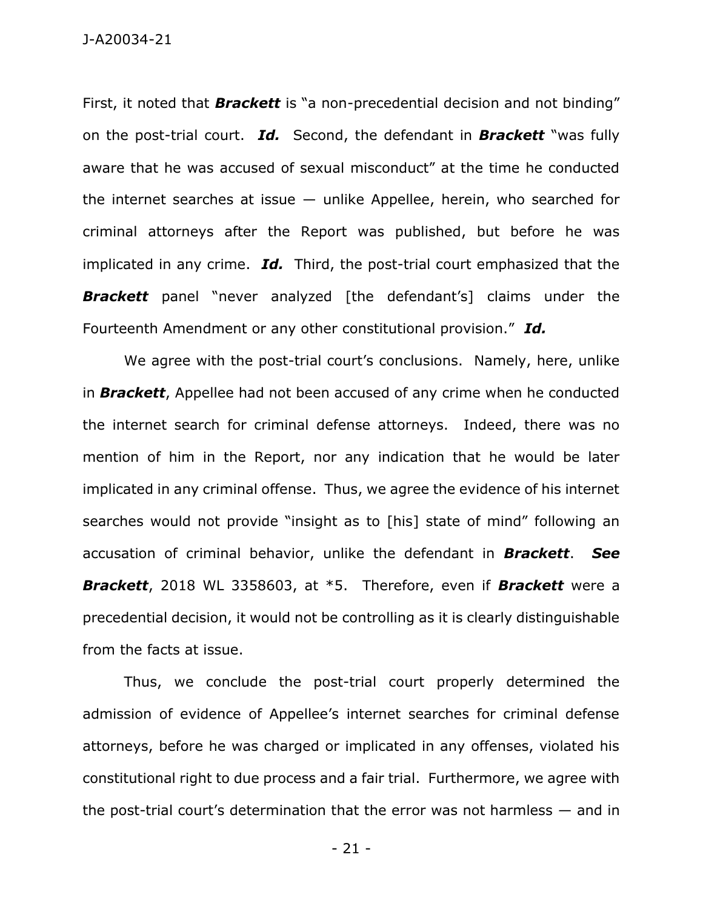J-A20034-21

First, it noted that *Brackett* is "a non-precedential decision and not binding" on the post-trial court. *Id.* Second, the defendant in *Brackett* "was fully aware that he was accused of sexual misconduct" at the time he conducted the internet searches at issue  $-$  unlike Appellee, herein, who searched for criminal attorneys after the Report was published, but before he was implicated in any crime. *Id.* Third, the post-trial court emphasized that the **Brackett** panel "never analyzed [the defendant's] claims under the Fourteenth Amendment or any other constitutional provision." *Id.*

We agree with the post-trial court's conclusions. Namely, here, unlike in *Brackett*, Appellee had not been accused of any crime when he conducted the internet search for criminal defense attorneys. Indeed, there was no mention of him in the Report, nor any indication that he would be later implicated in any criminal offense. Thus, we agree the evidence of his internet searches would not provide "insight as to [his] state of mind" following an accusation of criminal behavior, unlike the defendant in *Brackett*. *See Brackett*, 2018 WL 3358603, at \*5. Therefore, even if *Brackett* were a precedential decision, it would not be controlling as it is clearly distinguishable from the facts at issue.

Thus, we conclude the post-trial court properly determined the admission of evidence of Appellee's internet searches for criminal defense attorneys, before he was charged or implicated in any offenses, violated his constitutional right to due process and a fair trial. Furthermore, we agree with the post-trial court's determination that the error was not harmless — and in

- 21 -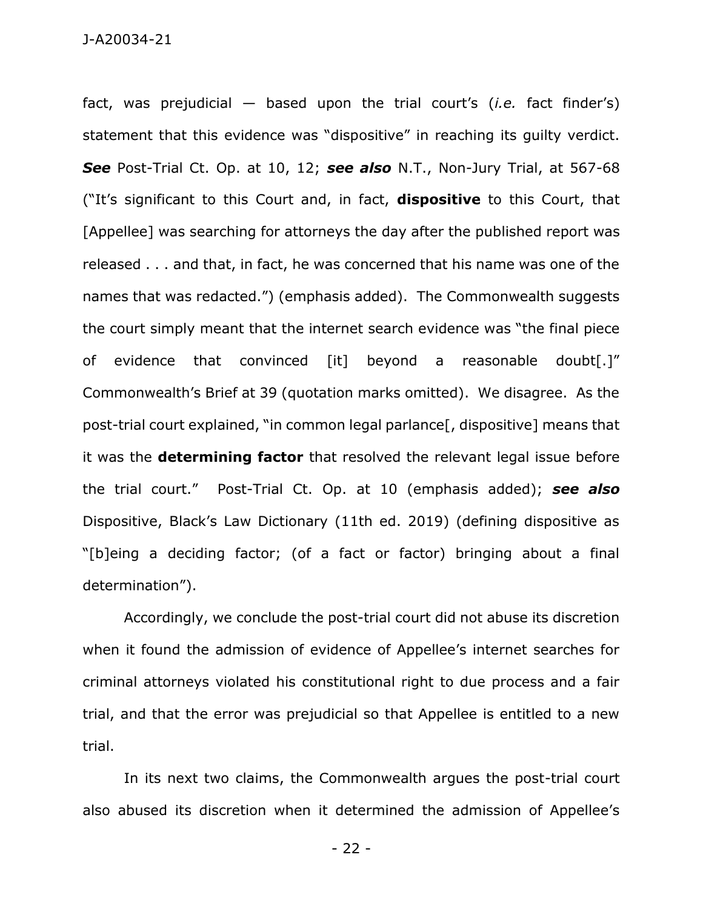fact, was prejudicial — based upon the trial court's (*i.e.* fact finder's) statement that this evidence was "dispositive" in reaching its guilty verdict. *See* Post-Trial Ct. Op. at 10, 12; *see also* N.T., Non-Jury Trial, at 567-68 ("It's significant to this Court and, in fact, **dispositive** to this Court, that [Appellee] was searching for attorneys the day after the published report was released . . . and that, in fact, he was concerned that his name was one of the names that was redacted.") (emphasis added). The Commonwealth suggests the court simply meant that the internet search evidence was "the final piece of evidence that convinced [it] beyond a reasonable doubt[.]" Commonwealth's Brief at 39 (quotation marks omitted). We disagree. As the post-trial court explained, "in common legal parlance[, dispositive] means that it was the **determining factor** that resolved the relevant legal issue before the trial court." Post-Trial Ct. Op. at 10 (emphasis added); *see also* Dispositive, Black's Law Dictionary (11th ed. 2019) (defining dispositive as "[b]eing a deciding factor; (of a fact or factor) bringing about a final determination").

Accordingly, we conclude the post-trial court did not abuse its discretion when it found the admission of evidence of Appellee's internet searches for criminal attorneys violated his constitutional right to due process and a fair trial, and that the error was prejudicial so that Appellee is entitled to a new trial.

In its next two claims, the Commonwealth argues the post-trial court also abused its discretion when it determined the admission of Appellee's

- 22 -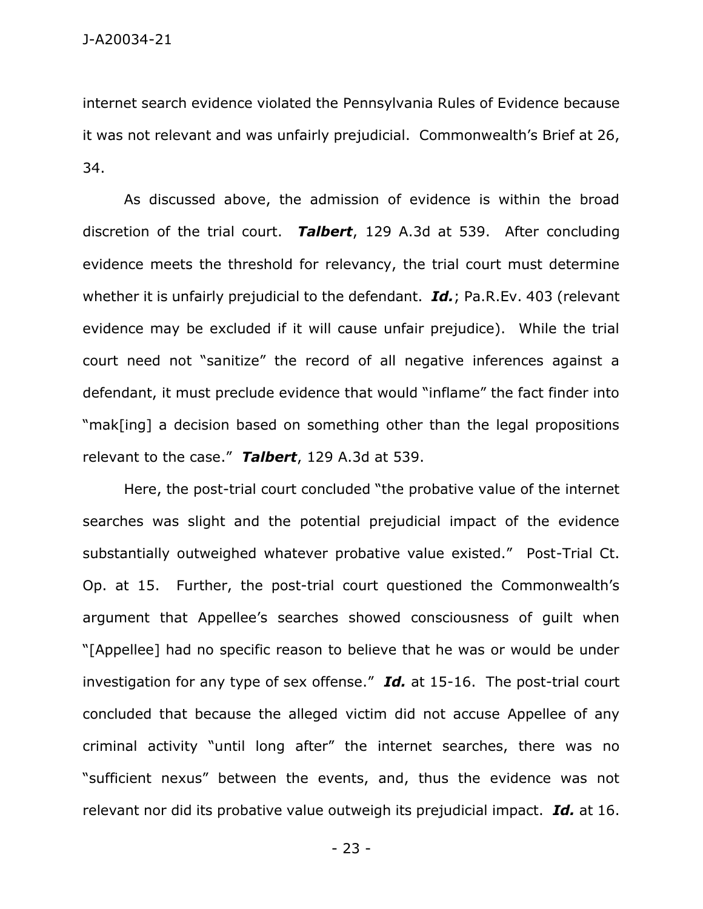internet search evidence violated the Pennsylvania Rules of Evidence because it was not relevant and was unfairly prejudicial. Commonwealth's Brief at 26, 34.

As discussed above, the admission of evidence is within the broad discretion of the trial court. *Talbert*, 129 A.3d at 539. After concluding evidence meets the threshold for relevancy, the trial court must determine whether it is unfairly prejudicial to the defendant. *Id.*; Pa.R.Ev. 403 (relevant evidence may be excluded if it will cause unfair prejudice). While the trial court need not "sanitize" the record of all negative inferences against a defendant, it must preclude evidence that would "inflame" the fact finder into "mak[ing] a decision based on something other than the legal propositions relevant to the case." *Talbert*, 129 A.3d at 539.

Here, the post-trial court concluded "the probative value of the internet searches was slight and the potential prejudicial impact of the evidence substantially outweighed whatever probative value existed." Post-Trial Ct. Op. at 15. Further, the post-trial court questioned the Commonwealth's argument that Appellee's searches showed consciousness of guilt when "[Appellee] had no specific reason to believe that he was or would be under investigation for any type of sex offense." *Id.* at 15-16. The post-trial court concluded that because the alleged victim did not accuse Appellee of any criminal activity "until long after" the internet searches, there was no "sufficient nexus" between the events, and, thus the evidence was not relevant nor did its probative value outweigh its prejudicial impact. *Id.* at 16.

- 23 -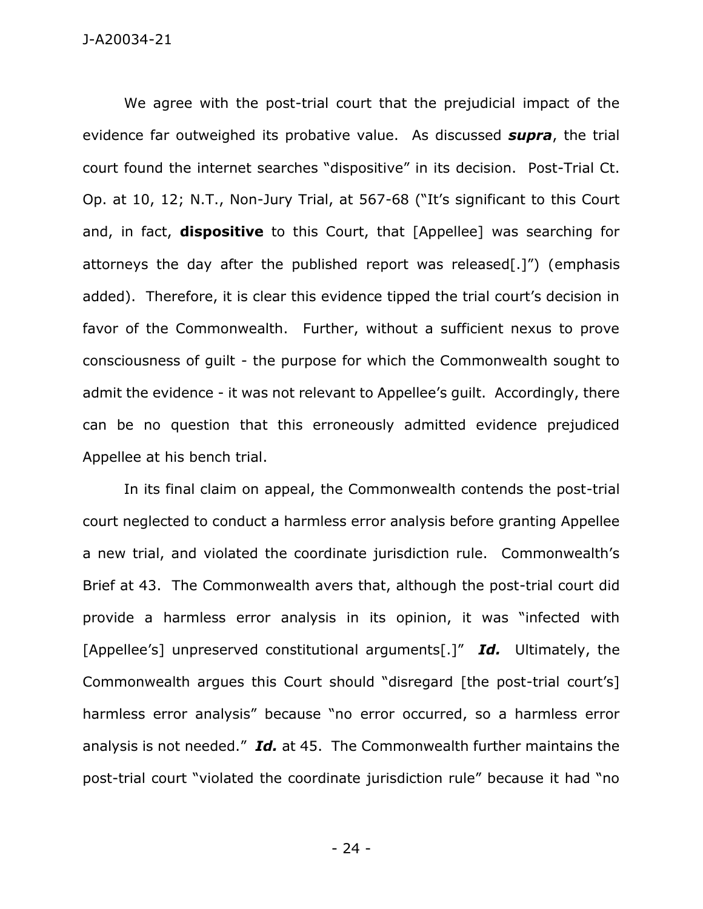## J-A20034-21

We agree with the post-trial court that the prejudicial impact of the evidence far outweighed its probative value. As discussed *supra*, the trial court found the internet searches "dispositive" in its decision. Post-Trial Ct. Op. at 10, 12; N.T., Non-Jury Trial, at 567-68 ("It's significant to this Court and, in fact, **dispositive** to this Court, that [Appellee] was searching for attorneys the day after the published report was released[.]") (emphasis added). Therefore, it is clear this evidence tipped the trial court's decision in favor of the Commonwealth. Further, without a sufficient nexus to prove consciousness of guilt - the purpose for which the Commonwealth sought to admit the evidence - it was not relevant to Appellee's guilt. Accordingly, there can be no question that this erroneously admitted evidence prejudiced Appellee at his bench trial.

In its final claim on appeal, the Commonwealth contends the post-trial court neglected to conduct a harmless error analysis before granting Appellee a new trial, and violated the coordinate jurisdiction rule. Commonwealth's Brief at 43. The Commonwealth avers that, although the post-trial court did provide a harmless error analysis in its opinion, it was "infected with [Appellee's] unpreserved constitutional arguments[.]" *Id.* Ultimately, the Commonwealth argues this Court should "disregard [the post-trial court's] harmless error analysis" because "no error occurred, so a harmless error analysis is not needed." *Id.* at 45. The Commonwealth further maintains the post-trial court "violated the coordinate jurisdiction rule" because it had "no

- 24 -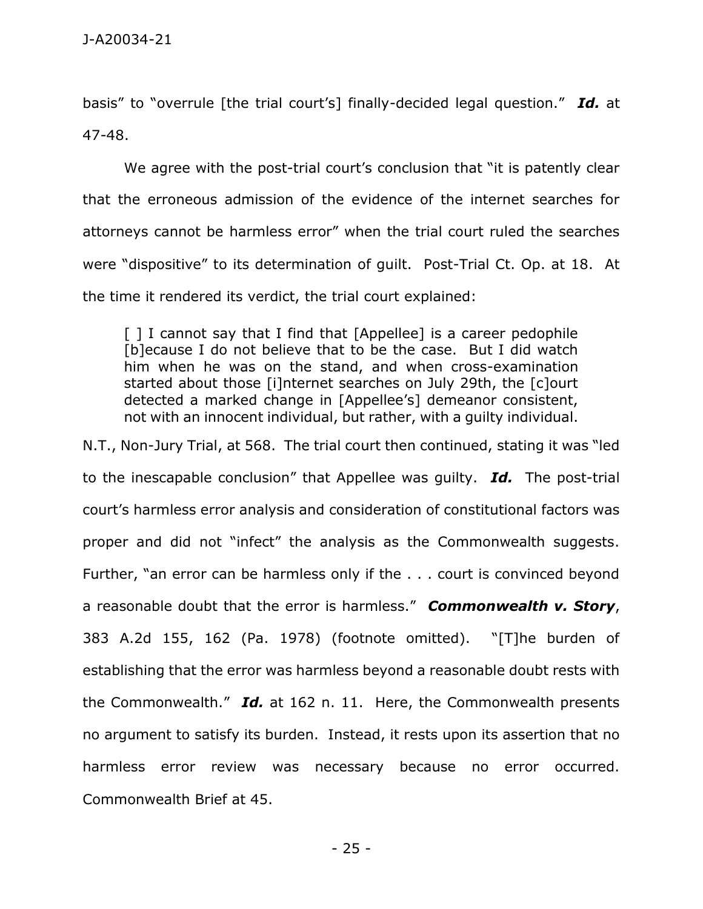basis" to "overrule [the trial court's] finally-decided legal question." *Id.* at 47-48.

We agree with the post-trial court's conclusion that "it is patently clear that the erroneous admission of the evidence of the internet searches for attorneys cannot be harmless error" when the trial court ruled the searches were "dispositive" to its determination of guilt. Post-Trial Ct. Op. at 18. At the time it rendered its verdict, the trial court explained:

[] I cannot say that I find that [Appellee] is a career pedophile [b]ecause I do not believe that to be the case. But I did watch him when he was on the stand, and when cross-examination started about those [i]nternet searches on July 29th, the [c]ourt detected a marked change in [Appellee's] demeanor consistent, not with an innocent individual, but rather, with a guilty individual.

N.T., Non-Jury Trial, at 568. The trial court then continued, stating it was "led to the inescapable conclusion" that Appellee was guilty. *Id.* The post-trial court's harmless error analysis and consideration of constitutional factors was proper and did not "infect" the analysis as the Commonwealth suggests. Further, "an error can be harmless only if the . . . court is convinced beyond a reasonable doubt that the error is harmless." *Commonwealth v. Story*, 383 A.2d 155, 162 (Pa. 1978) (footnote omitted). "[T]he burden of establishing that the error was harmless beyond a reasonable doubt rests with the Commonwealth." *Id.* at 162 n. 11. Here, the Commonwealth presents no argument to satisfy its burden. Instead, it rests upon its assertion that no harmless error review was necessary because no error occurred. Commonwealth Brief at 45.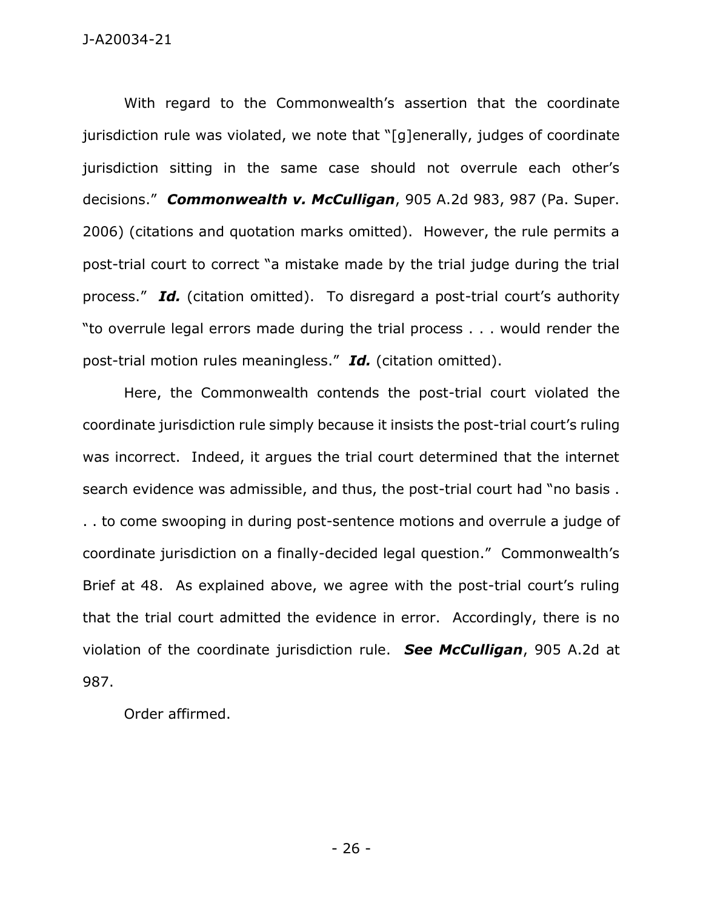With regard to the Commonwealth's assertion that the coordinate jurisdiction rule was violated, we note that "[g]enerally, judges of coordinate jurisdiction sitting in the same case should not overrule each other's decisions." *Commonwealth v. McCulligan*, 905 A.2d 983, 987 (Pa. Super. 2006) (citations and quotation marks omitted). However, the rule permits a post-trial court to correct "a mistake made by the trial judge during the trial process." *Id.* (citation omitted). To disregard a post-trial court's authority "to overrule legal errors made during the trial process . . . would render the post-trial motion rules meaningless." *Id.* (citation omitted).

Here, the Commonwealth contends the post-trial court violated the coordinate jurisdiction rule simply because it insists the post-trial court's ruling was incorrect. Indeed, it argues the trial court determined that the internet search evidence was admissible, and thus, the post-trial court had "no basis . . . to come swooping in during post-sentence motions and overrule a judge of coordinate jurisdiction on a finally-decided legal question." Commonwealth's Brief at 48. As explained above, we agree with the post-trial court's ruling that the trial court admitted the evidence in error. Accordingly, there is no violation of the coordinate jurisdiction rule. *See McCulligan*, 905 A.2d at 987.

Order affirmed.